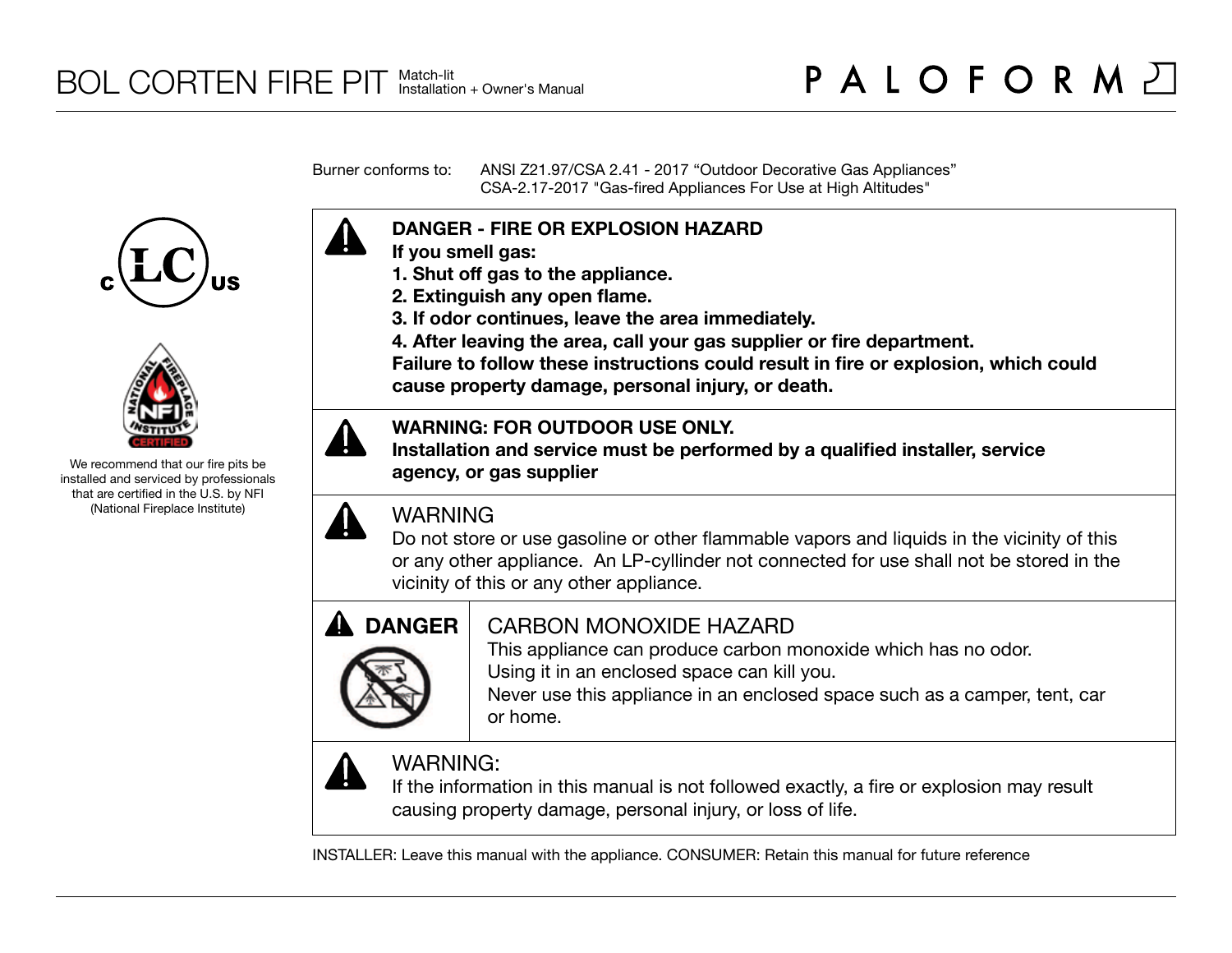Burner conforms to: ANSI Z21.97/CSA 2.41 - 2017 "Outdoor Decorative Gas Appliances" CSA-2.17-2017 "Gas-fired Appliances For Use at High Altitudes"





We recommend that our fire pits be installed and serviced by professionals that are certified in the U.S. by NFI (National Fireplace Institute)





## **WARNING: FOR OUTDOOR USE ONLY.**

**DANGER - FIRE OR EXPLOSION HAZARD**

**3. If odor continues, leave the area immediately.**

**1. Shut off gas to the appliance. 2. Extinguish any open flame.** 

**Installation and service must be performed by a qualified installer, service agency, or gas supplier**

**4. After leaving the area, call your gas supplier or fire department.**



## WARNING

**If you smell gas:**

Do not store or use gasoline or other flammable vapors and liquids in the vicinity of this or any other appliance. An LP-cyllinder not connected for use shall not be stored in the vicinity of this or any other appliance.

**Failure to follow these instructions could result in fire or explosion, which could** 



## CARBON MONOXIDE HAZARD

This appliance can produce carbon monoxide which has no odor. Using it in an enclosed space can kill you.

Never use this appliance in an enclosed space such as a camper, tent, car or home.



# WARNING:

If the information in this manual is not followed exactly, a fire or explosion may result causing property damage, personal injury, or loss of life.

INSTALLER: Leave this manual with the appliance. CONSUMER: Retain this manual for future reference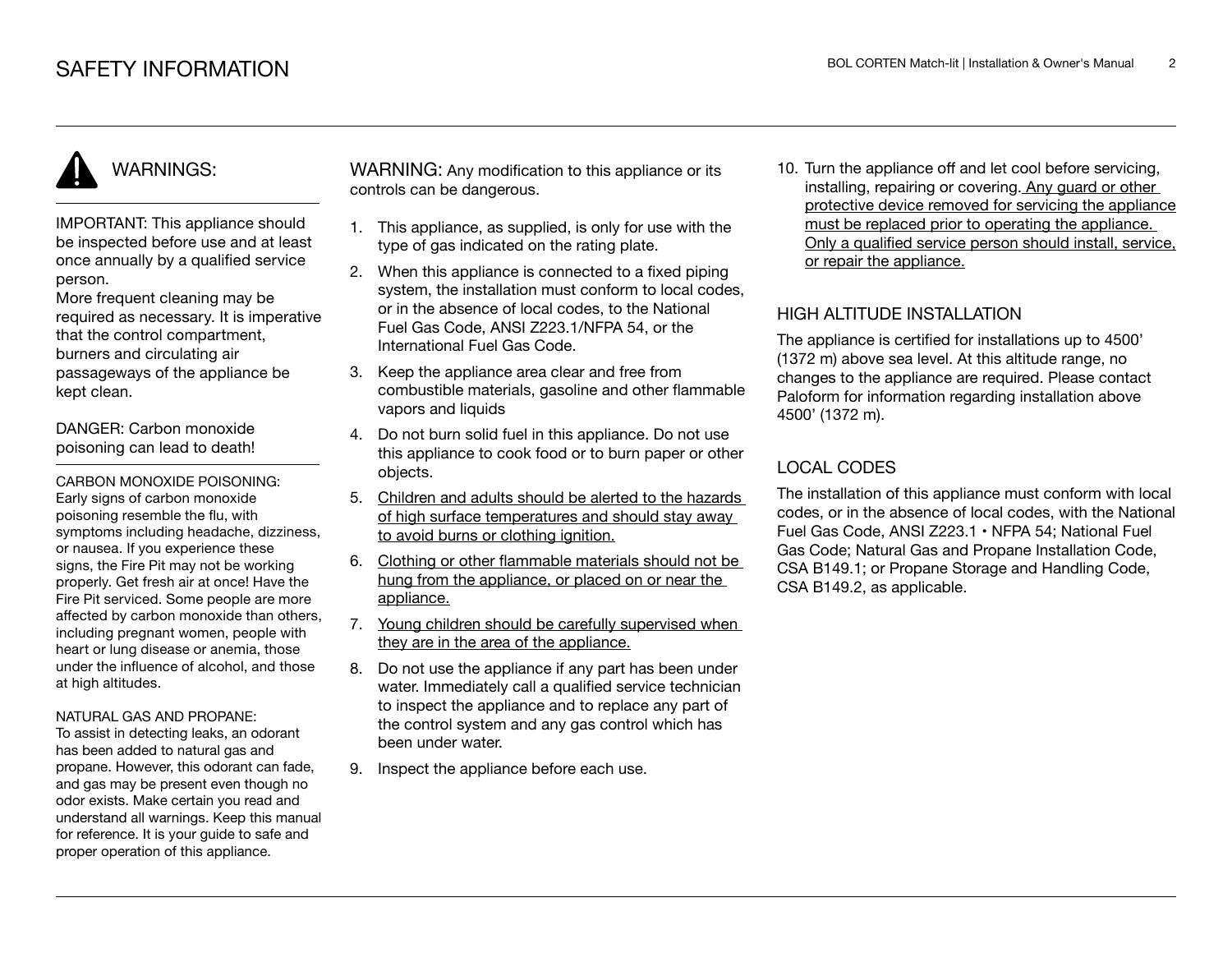# WARNINGS:

IMPORTANT: This appliance should be inspected before use and at least once annually by a qualified service person.

More frequent cleaning may be required as necessary. It is imperative that the control compartment, burners and circulating air passageways of the appliance be kept clean.

DANGER: Carbon monoxide poisoning can lead to death!

CARBON MONOXIDE POISONING: Early signs of carbon monoxide poisoning resemble the flu, with symptoms including headache, dizziness, or nausea. If you experience these signs, the Fire Pit may not be working properly. Get fresh air at once! Have the Fire Pit serviced. Some people are more affected by carbon monoxide than others, including pregnant women, people with heart or lung disease or anemia, those under the influence of alcohol, and those at high altitudes.

#### NATURAL GAS AND PROPANE:

To assist in detecting leaks, an odorant has been added to natural gas and propane. However, this odorant can fade, and gas may be present even though no odor exists. Make certain you read and understand all warnings. Keep this manual for reference. It is your guide to safe and proper operation of this appliance.

WARNING: Any modification to this appliance or its controls can be dangerous.

- 1. This appliance, as supplied, is only for use with the type of gas indicated on the rating plate.
- 2. When this appliance is connected to a fixed piping system, the installation must conform to local codes. or in the absence of local codes, to the National Fuel Gas Code, ANSI Z223.1/NFPA 54, or the International Fuel Gas Code.
- 3. Keep the appliance area clear and free from combustible materials, gasoline and other flammable vapors and liquids
- 4. Do not burn solid fuel in this appliance. Do not use this appliance to cook food or to burn paper or other objects.
- 5. Children and adults should be alerted to the hazards of high surface temperatures and should stay away to avoid burns or clothing ignition.
- 6. Clothing or other flammable materials should not be hung from the appliance, or placed on or near the appliance.
- 7. Young children should be carefully supervised when they are in the area of the appliance.
- 8. Do not use the appliance if any part has been under water. Immediately call a qualified service technician to inspect the appliance and to replace any part of the control system and any gas control which has been under water.
- 9. Inspect the appliance before each use.

10. Turn the appliance off and let cool before servicing, installing, repairing or covering. Any guard or other protective device removed for servicing the appliance must be replaced prior to operating the appliance. Only a qualified service person should install, service, or repair the appliance.

### HIGH ALTITUDE INSTALLATION

The appliance is certified for installations up to 4500' (1372 m) above sea level. At this altitude range, no changes to the appliance are required. Please contact Paloform for information regarding installation above 4500' (1372 m).

## LOCAL CODES

The installation of this appliance must conform with local codes, or in the absence of local codes, with the National Fuel Gas Code, ANSI Z223.1 • NFPA 54; National Fuel Gas Code; Natural Gas and Propane Installation Code, CSA B149.1; or Propane Storage and Handling Code, CSA B149.2, as applicable.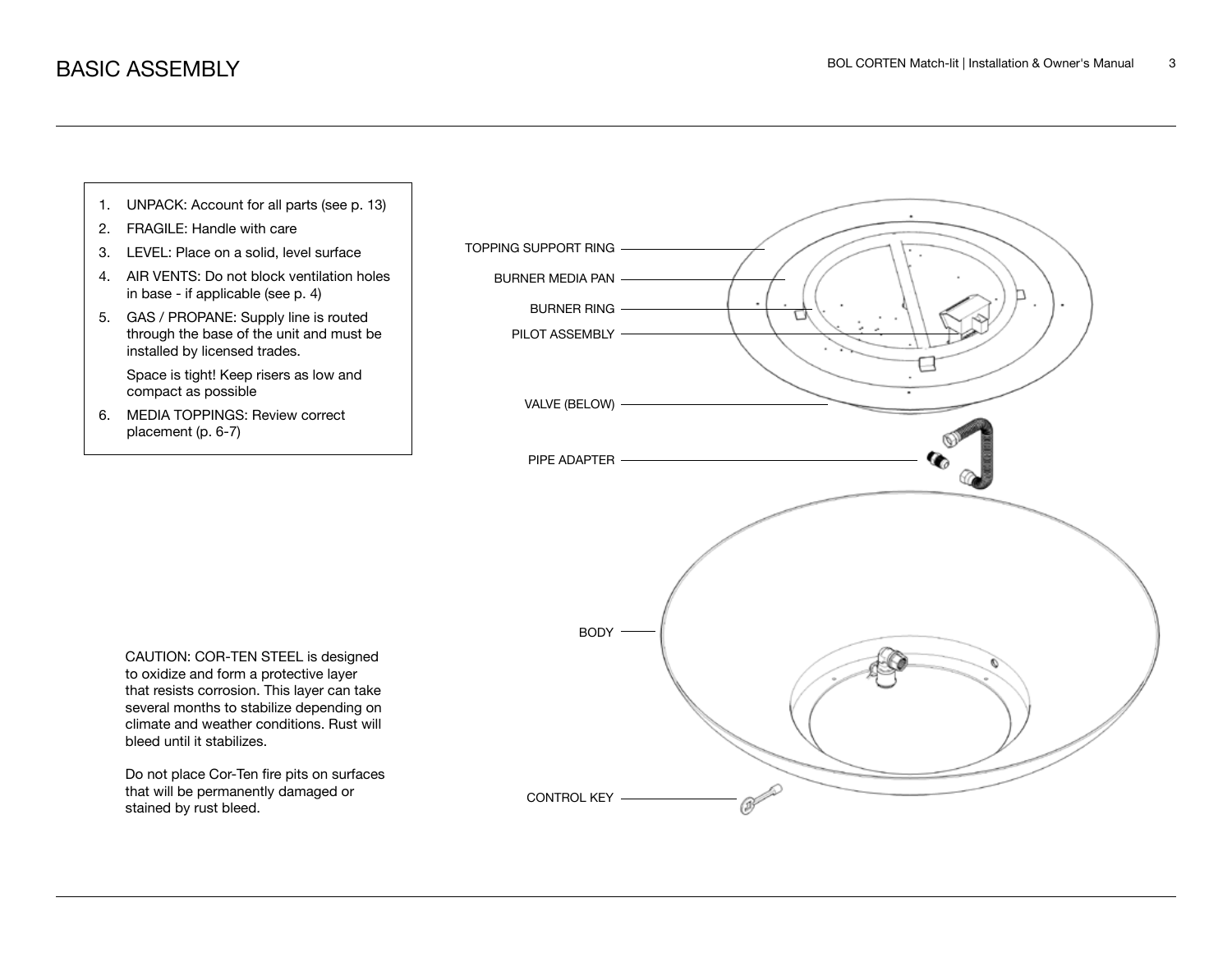

CAUTION: COR-TEN STEEL is designed to oxidize and form a protective layer that resists corrosion. This layer can take several months to stabilize depending on climate and weather conditions. Rust will bleed until it stabilizes.

Do not place Cor-Ten fire pits on surfaces that will be permanently damaged or stained by rust bleed.

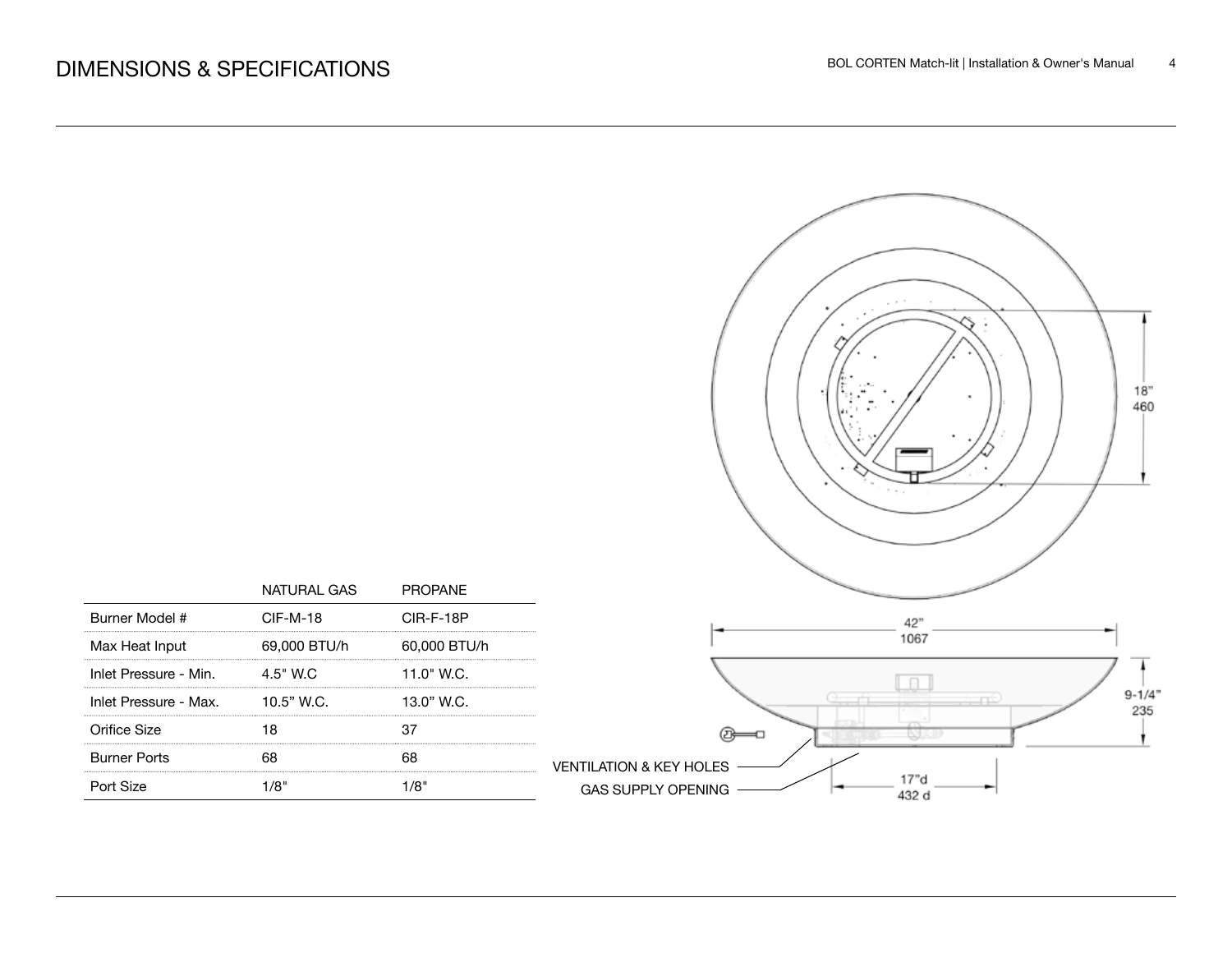

|                       | NATURAL GAS  | <b>PROPANE</b> |
|-----------------------|--------------|----------------|
| Burner Model #        | $CIF-M-18$   | CIR-F-18P      |
| Max Heat Input        | 69,000 BTU/h | 60,000 BTU/h   |
| Inlet Pressure - Min. | 4.5" W.C     | $11.0"$ W.C.   |
| Inlet Pressure - Max. | $10.5"$ W.C. | 13.0" W.C.     |
| Orifice Size          |              |                |
| <b>Burner Ports</b>   |              |                |
| Port Size             |              |                |

VENTILATION & KEY HOLES

GAS SUPPLY OPENING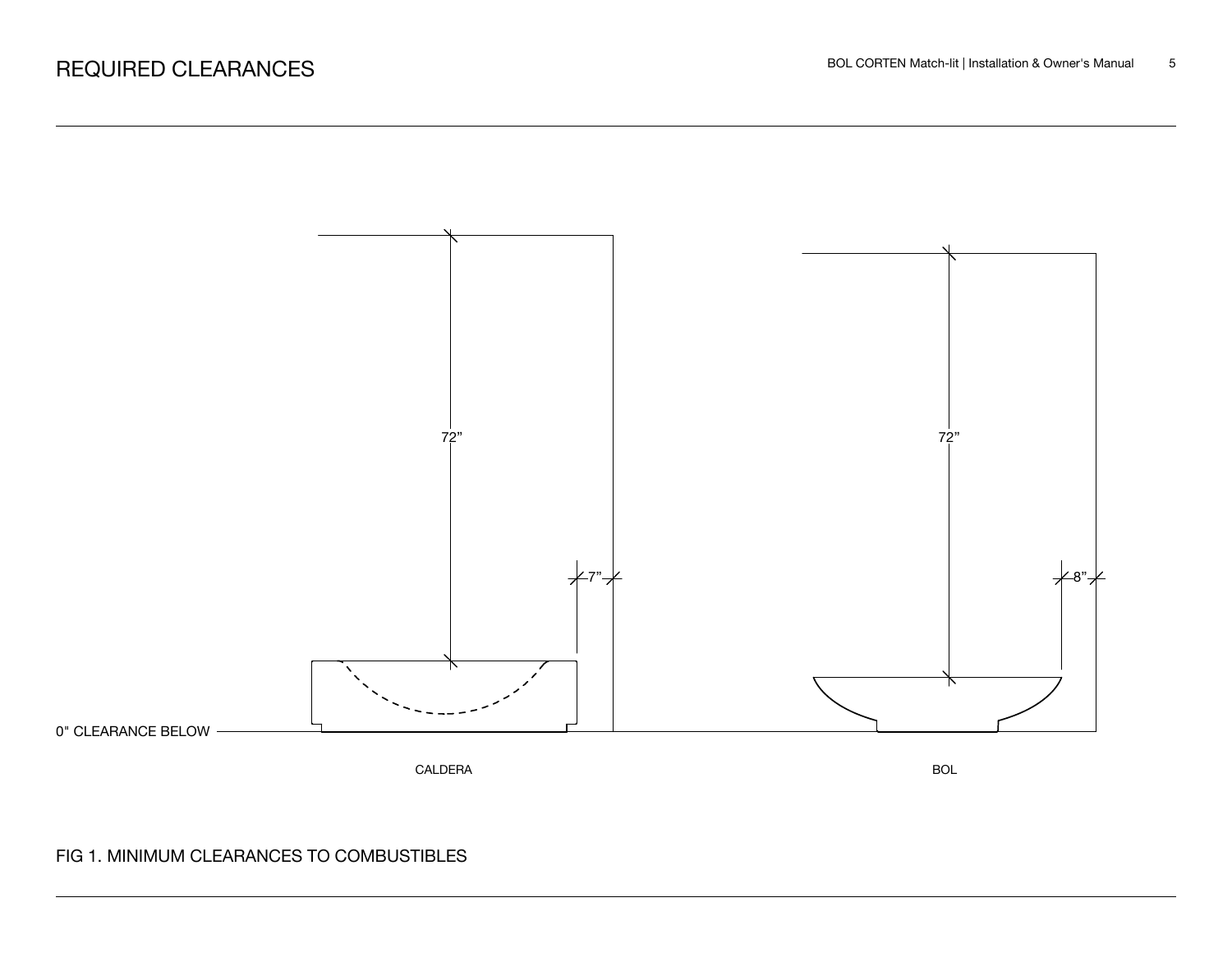

## FIG 1. MINIMUM CLEARANCES TO COMBUSTIBLES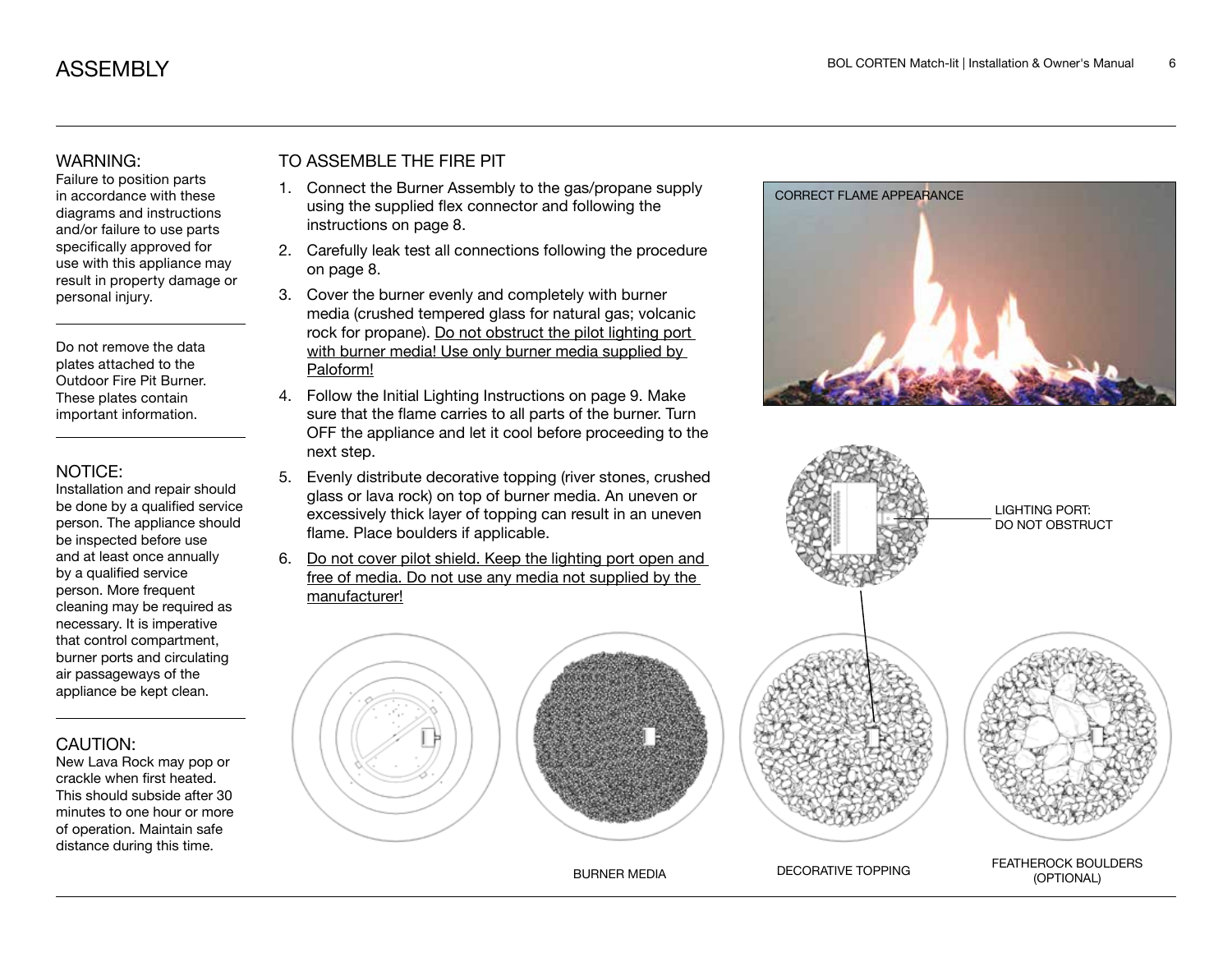#### WARNING:

Failure to position parts in accordance with these diagrams and instructions and/or failure to use parts specifically approved for use with this appliance may result in property damage or personal injury.

Do not remove the data plates attached to the Outdoor Fire Pit Burner. These plates contain important information.

#### NOTICE:

Installation and repair should be done by a qualified service person. The appliance should be inspected before use and at least once annually by a qualified service person. More frequent cleaning may be required as necessary. It is imperative that control compartment, burner ports and circulating air passageways of the appliance be kept clean.

#### CAUTION:

New Lava Rock may pop or crackle when first heated. This should subside after 30 minutes to one hour or more of operation. Maintain safe distance during this time.

## TO ASSEMBLE THE FIRE PIT

- 1. Connect the Burner Assembly to the gas/propane supply using the supplied flex connector and following the instructions on page 8.
- 2. Carefully leak test all connections following the procedure on page 8.
- 3. Cover the burner evenly and completely with burner media (crushed tempered glass for natural gas; volcanic rock for propane). Do not obstruct the pilot lighting port with burner media! Use only burner media supplied by Paloform!
- 4. Follow the Initial Lighting Instructions on page 9. Make sure that the flame carries to all parts of the burner. Turn OFF the appliance and let it cool before proceeding to the next step.
- 5. Evenly distribute decorative topping (river stones, crushed glass or lava rock) on top of burner media. An uneven or excessively thick layer of topping can result in an uneven flame. Place boulders if applicable.
- 6. Do not cover pilot shield. Keep the lighting port open and free of media. Do not use any media not supplied by the manufacturer!









LIGHTING PORT: DO NOT OBSTRUCT

BURNER MEDIA DECORATIVE TOPPING FEATHEROCK BOULDERS (OPTIONAL)

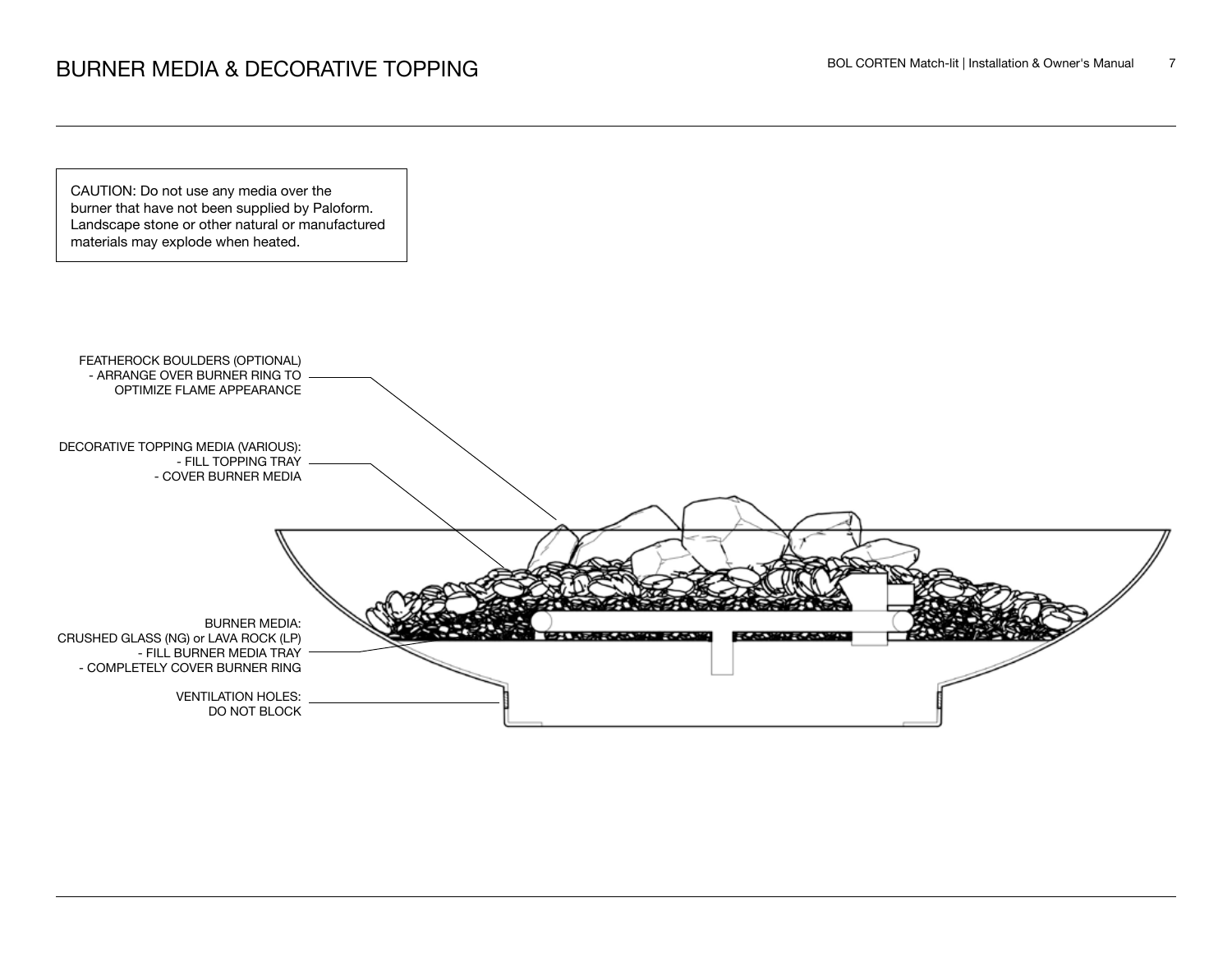

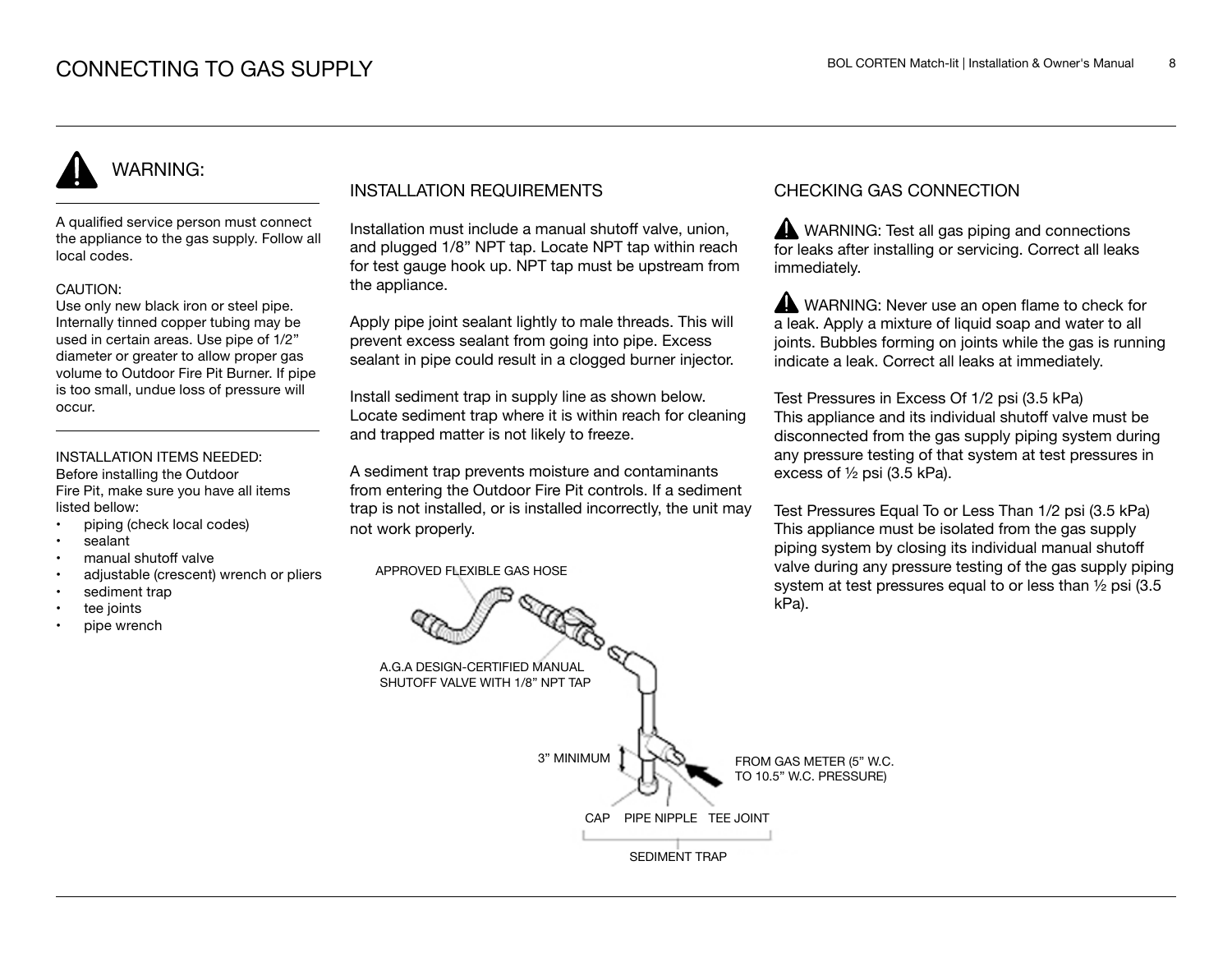# WARNING:

A qualified service person must connect the appliance to the gas supply. Follow all local codes.

#### CAUTION:

Use only new black iron or steel pipe. Internally tinned copper tubing may be used in certain areas. Use pipe of 1/2" diameter or greater to allow proper gas volume to Outdoor Fire Pit Burner. If pipe is too small, undue loss of pressure will occur.

#### INSTALLATION ITEMS NEEDED:

Before installing the Outdoor Fire Pit, make sure you have all items listed bellow:

- piping (check local codes)
- sealant
- manual shutoff valve
- adjustable (crescent) wrench or pliers
- sediment trap
- tee joints
- pipe wrench

#### INSTALLATION REQUIREMENTS

Installation must include a manual shutoff valve, union, and plugged 1/8" NPT tap. Locate NPT tap within reach for test gauge hook up. NPT tap must be upstream from the appliance.

Apply pipe joint sealant lightly to male threads. This will prevent excess sealant from going into pipe. Excess sealant in pipe could result in a clogged burner injector.

Install sediment trap in supply line as shown below. Locate sediment trap where it is within reach for cleaning and trapped matter is not likely to freeze.

A sediment trap prevents moisture and contaminants from entering the Outdoor Fire Pit controls. If a sediment trap is not installed, or is installed incorrectly, the unit may not work properly.

APPROVED FLEXIBLE GAS HOSE

#### CHECKING GAS CONNECTION

WARNING: Test all gas piping and connections for leaks after installing or servicing. Correct all leaks immediately.

WARNING: Never use an open flame to check for a leak. Apply a mixture of liquid soap and water to all joints. Bubbles forming on joints while the gas is running indicate a leak. Correct all leaks at immediately.

Test Pressures in Excess Of 1/2 psi (3.5 kPa) This appliance and its individual shutoff valve must be disconnected from the gas supply piping system during any pressure testing of that system at test pressures in excess of ½ psi (3.5 kPa).

Test Pressures Equal To or Less Than 1/2 psi (3.5 kPa) This appliance must be isolated from the gas supply piping system by closing its individual manual shutoff valve during any pressure testing of the gas supply piping system at test pressures equal to or less than ½ psi (3.5 kPa).

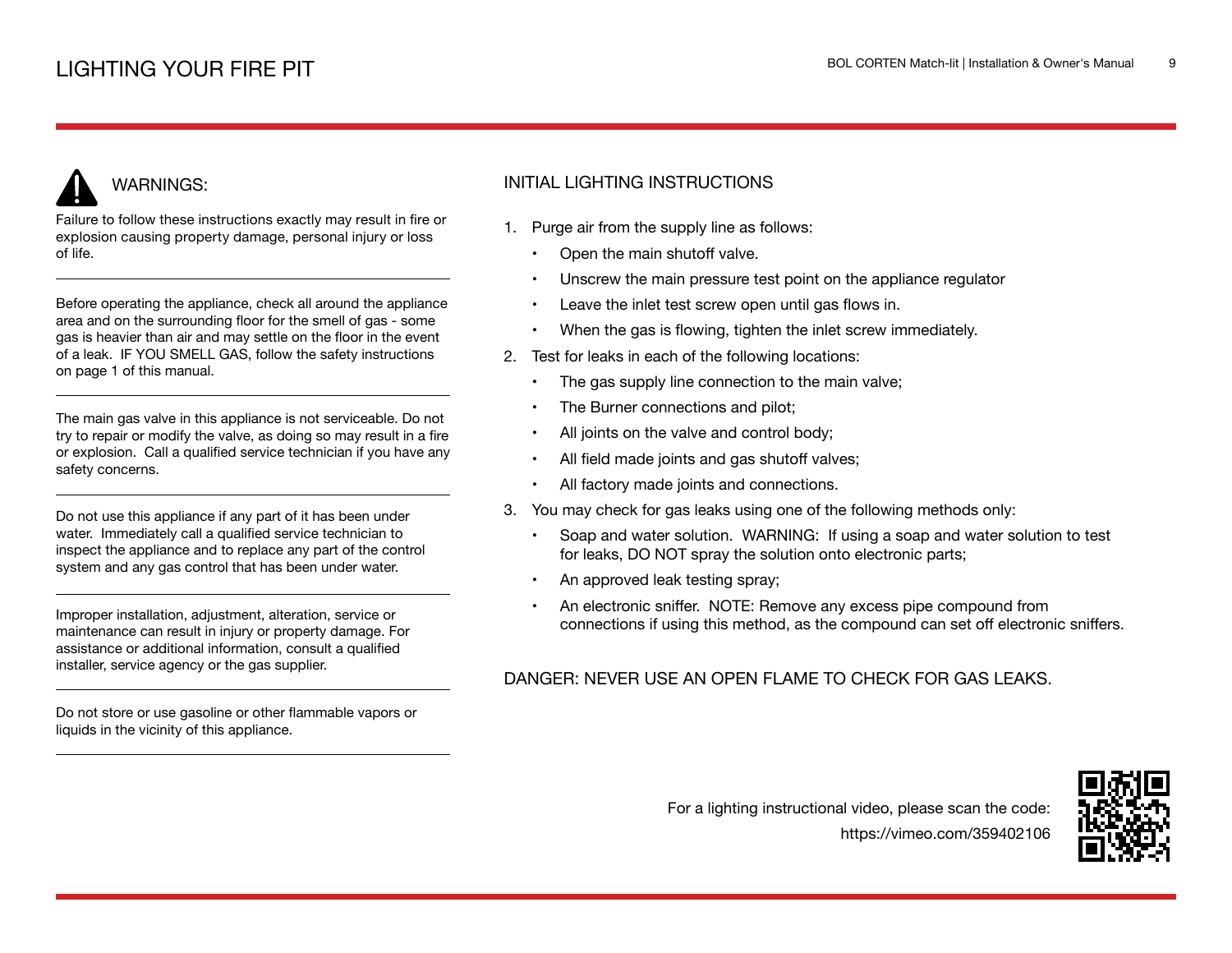# WARNINGS:

Failure to follow these instructions exactly may result in fire or explosion causing property damage, personal injury or loss of life.

Before operating the appliance, check all around the appliance area and on the surrounding floor for the smell of gas - some gas is heavier than air and may settle on the floor in the event of a leak. IF YOU SMELL GAS, follow the safety instructions on page 1 of this manual.

The main gas valve in this appliance is not serviceable. Do not try to repair or modify the valve, as doing so may result in a fire or explosion. Call a qualified service technician if you have any safety concerns.

Do not use this appliance if any part of it has been under water. Immediately call a qualified service technician to inspect the appliance and to replace any part of the control system and any gas control that has been under water.

Improper installation, adjustment, alteration, service or maintenance can result in injury or property damage. For assistance or additional information, consult a qualified installer, service agency or the gas supplier.

Do not store or use gasoline or other flammable vapors or liquids in the vicinity of this appliance.

## INITIAL LIGHTING INSTRUCTIONS

- 1. Purge air from the supply line as follows:
	- Open the main shutoff valve.
	- Unscrew the main pressure test point on the appliance regulator
	- Leave the inlet test screw open until gas flows in.
	- When the gas is flowing, tighten the inlet screw immediately.
- 2. Test for leaks in each of the following locations:
	- The gas supply line connection to the main valve;
	- The Burner connections and pilot;
	- All joints on the valve and control body;
	- All field made joints and gas shutoff valves;
	- All factory made joints and connections.
- 3. You may check for gas leaks using one of the following methods only:
	- Soap and water solution. WARNING: If using a soap and water solution to test for leaks, DO NOT spray the solution onto electronic parts;
	- An approved leak testing spray;
	- An electronic sniffer. NOTE: Remove any excess pipe compound from connections if using this method, as the compound can set off electronic sniffers.

### DANGER: NEVER USE AN OPEN FLAME TO CHECK FOR GAS LEAKS.

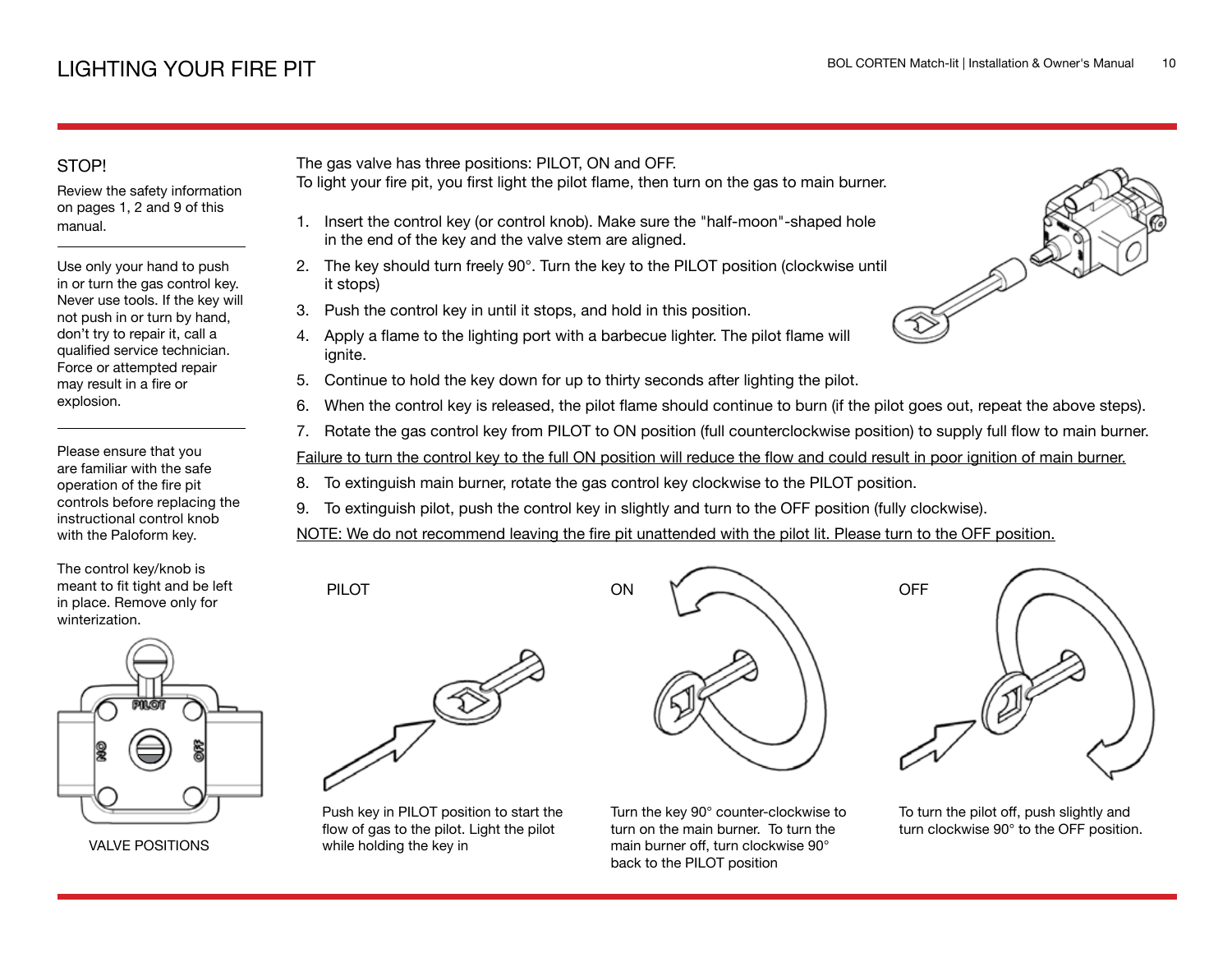## STOP!

Review the safety information on pages 1, 2 and 9 of this manual.

Use only your hand to push in or turn the gas control key. Never use tools. If the key will not push in or turn by hand, don't try to repair it, call a qualified service technician. Force or attempted repair may result in a fire or explosion.

Please ensure that you are familiar with the safe operation of the fire pit controls before replacing the instructional control knob with the Paloform key.

The control key/knob is meant to fit tight and be left in place. Remove only for winterization.



VALVE POSITIONS

The gas valve has three positions: PILOT, ON and OFF.

- To light your fire pit, you first light the pilot flame, then turn on the gas to main burner.
	- 1. Insert the control key (or control knob). Make sure the "half-moon"-shaped hole in the end of the key and the valve stem are aligned.
	- 2. The key should turn freely 90°. Turn the key to the PILOT position (clockwise until it stops)
- 3. Push the control key in until it stops, and hold in this position.
- 4. Apply a flame to the lighting port with a barbecue lighter. The pilot flame will ignite.
- 5. Continue to hold the key down for up to thirty seconds after lighting the pilot.
- 6. When the control key is released, the pilot flame should continue to burn (if the pilot goes out, repeat the above steps).
- 7. Rotate the gas control key from PILOT to ON position (full counterclockwise position) to supply full flow to main burner.

Failure to turn the control key to the full ON position will reduce the flow and could result in poor ignition of main burner.

- 8. To extinguish main burner, rotate the gas control key clockwise to the PILOT position.
- 9. To extinguish pilot, push the control key in slightly and turn to the OFF position (fully clockwise).

ON

NOTE: We do not recommend leaving the fire pit unattended with the pilot lit. Please turn to the OFF position.



PILOT

Push key in PILOT position to start the flow of gas to the pilot. Light the pilot while holding the key in







To turn the pilot off, push slightly and turn clockwise 90° to the OFF position.

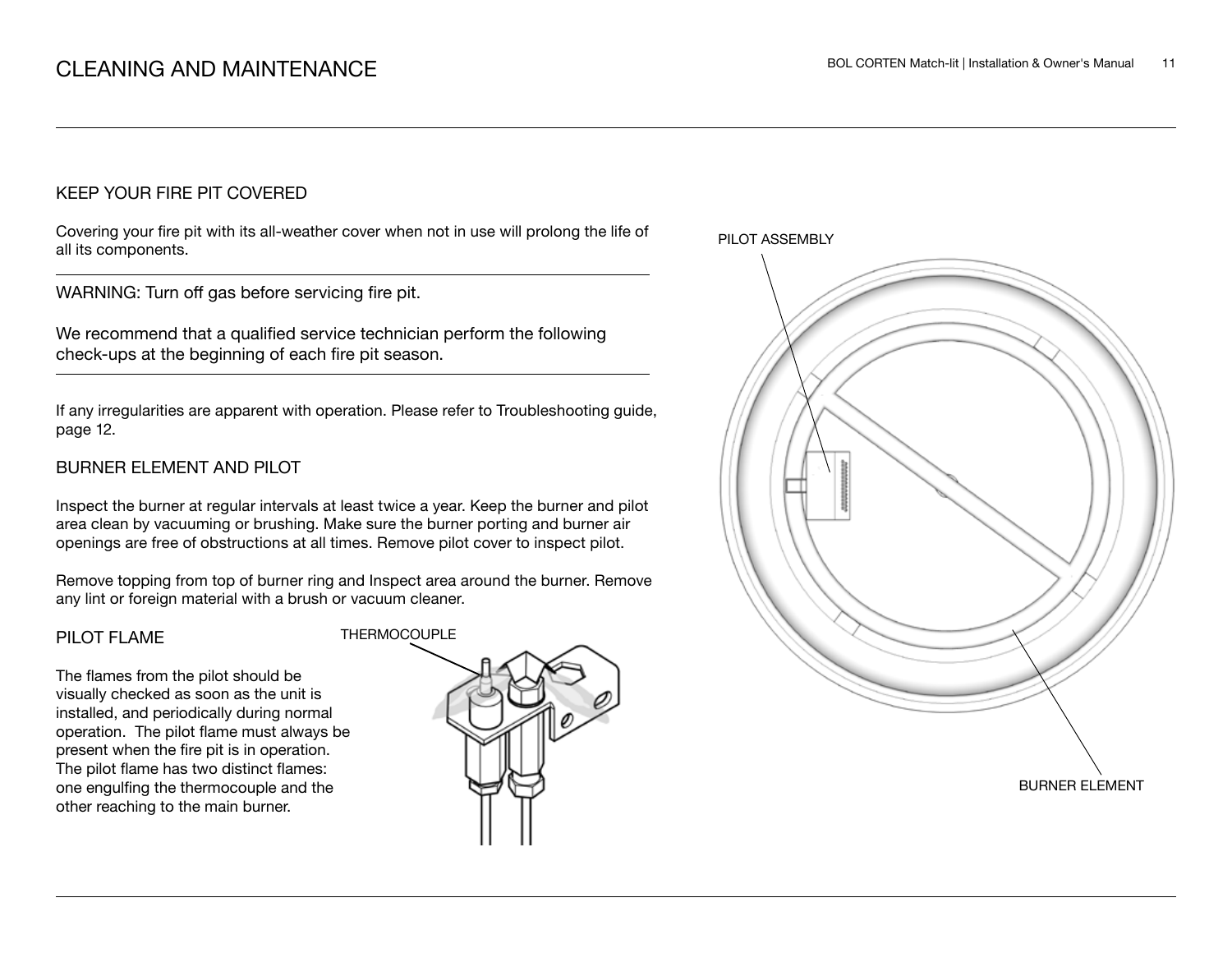#### KEEP YOUR FIRE PIT COVERED

Covering your fire pit with its all-weather cover when not in use will prolong the life of all its components.

WARNING: Turn off gas before servicing fire pit.

We recommend that a qualified service technician perform the following check-ups at the beginning of each fire pit season.

If any irregularities are apparent with operation. Please refer to Troubleshooting guide, page 12.

#### BURNER ELEMENT AND PILOT

Inspect the burner at regular intervals at least twice a year. Keep the burner and pilot area clean by vacuuming or brushing. Make sure the burner porting and burner air openings are free of obstructions at all times. Remove pilot cover to inspect pilot.

Remove topping from top of burner ring and Inspect area around the burner. Remove any lint or foreign material with a brush or vacuum cleaner.

#### PILOT FLAME

The flames from the pilot should be visually checked as soon as the unit is installed, and periodically during normal operation. The pilot flame must always be present when the fire pit is in operation. The pilot flame has two distinct flames: one engulfing the thermocouple and the other reaching to the main burner.



PILOT ASSEMBLY

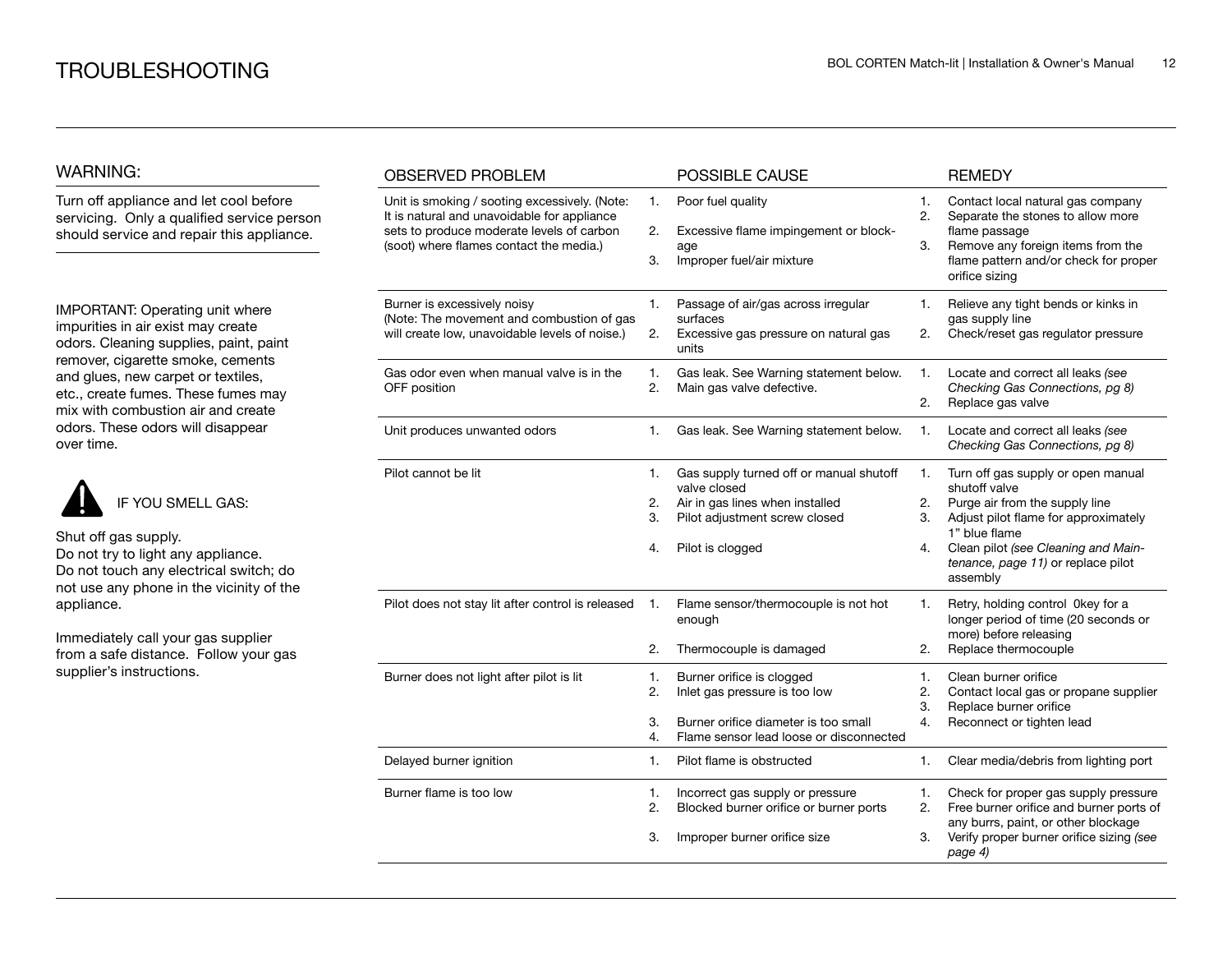#### WARNING:

Turn off appliance and let cool before servicing. Only a qualified service person should service and repair this appliance.

IMPORTANT: Operating unit where impurities in air exist may create odors. Cleaning supplies, paint, paint remover, cigarette smoke, cements and glues, new carpet or textiles, etc., create fumes. These fumes may mix with combustion air and create odors. These odors will disappear over time.



Shut off gas supply. Do not try to light any appliance. Do not touch any electrical switch; do

not use any phone in the vicinity of the appliance.

Immediately call your gas supplier from a safe distance. Follow your gas supplier's instructions.

| <b>OBSERVED PROBLEM</b>                                                                                                                                                              |                      | POSSIBLE CAUSE                                                                                                                                  |                      | <b>REMEDY</b>                                                                                                                                                                                                                           |
|--------------------------------------------------------------------------------------------------------------------------------------------------------------------------------------|----------------------|-------------------------------------------------------------------------------------------------------------------------------------------------|----------------------|-----------------------------------------------------------------------------------------------------------------------------------------------------------------------------------------------------------------------------------------|
| Unit is smoking / sooting excessively. (Note:<br>It is natural and unavoidable for appliance<br>sets to produce moderate levels of carbon<br>(soot) where flames contact the media.) | 1.<br>2.<br>3.       | Poor fuel quality<br>Excessive flame impingement or block-<br>age<br>Improper fuel/air mixture                                                  | 1.<br>2.<br>3.       | Contact local natural gas company<br>Separate the stones to allow more<br>flame passage<br>Remove any foreign items from the<br>flame pattern and/or check for proper<br>orifice sizing                                                 |
| Burner is excessively noisy<br>(Note: The movement and combustion of gas<br>will create low, unavoidable levels of noise.)                                                           | 1.<br>2.             | Passage of air/gas across irregular<br>surfaces<br>Excessive gas pressure on natural gas<br>units                                               | 1.<br>2.             | Relieve any tight bends or kinks in<br>gas supply line<br>Check/reset gas regulator pressure                                                                                                                                            |
| Gas odor even when manual valve is in the<br>OFF position                                                                                                                            | 1.<br>2.             | Gas leak. See Warning statement below.<br>Main gas valve defective.                                                                             | 1.<br>2.             | Locate and correct all leaks (see<br>Checking Gas Connections, pg 8)<br>Replace gas valve                                                                                                                                               |
| Unit produces unwanted odors                                                                                                                                                         | 1.                   | Gas leak. See Warning statement below.                                                                                                          | 1.                   | Locate and correct all leaks (see<br>Checking Gas Connections, pg 8)                                                                                                                                                                    |
| Pilot cannot be lit                                                                                                                                                                  | 1.<br>2.<br>3.<br>4. | Gas supply turned off or manual shutoff<br>valve closed<br>Air in gas lines when installed<br>Pilot adjustment screw closed<br>Pilot is clogged | 1.<br>2.<br>3.<br>4. | Turn off gas supply or open manual<br>shutoff valve<br>Purge air from the supply line<br>Adjust pilot flame for approximately<br>1" blue flame<br>Clean pilot (see Cleaning and Main-<br>tenance, page 11) or replace pilot<br>assembly |
| Pilot does not stay lit after control is released                                                                                                                                    | 1.<br>2.             | Flame sensor/thermocouple is not hot<br>enough<br>Thermocouple is damaged                                                                       | 1.<br>2.             | Retry, holding control 0key for a<br>longer period of time (20 seconds or<br>more) before releasing<br>Replace thermocouple                                                                                                             |
| Burner does not light after pilot is lit                                                                                                                                             | 1.<br>2.<br>3.<br>4. | Burner orifice is clogged<br>Inlet gas pressure is too low<br>Burner orifice diameter is too small<br>Flame sensor lead loose or disconnected   | 1.<br>2.<br>3.<br>4. | Clean burner orifice<br>Contact local gas or propane supplier<br>Replace burner orifice<br>Reconnect or tighten lead                                                                                                                    |
| Delayed burner ignition                                                                                                                                                              | 1.                   | Pilot flame is obstructed                                                                                                                       | 1.                   | Clear media/debris from lighting port                                                                                                                                                                                                   |
| Burner flame is too low                                                                                                                                                              | 1.<br>2.<br>3.       | Incorrect gas supply or pressure<br>Blocked burner orifice or burner ports<br>Improper burner orifice size                                      | 1.<br>2.<br>3.       | Check for proper gas supply pressure<br>Free burner orifice and burner ports of<br>any burrs, paint, or other blockage<br>Verify proper burner orifice sizing (see<br>page 4)                                                           |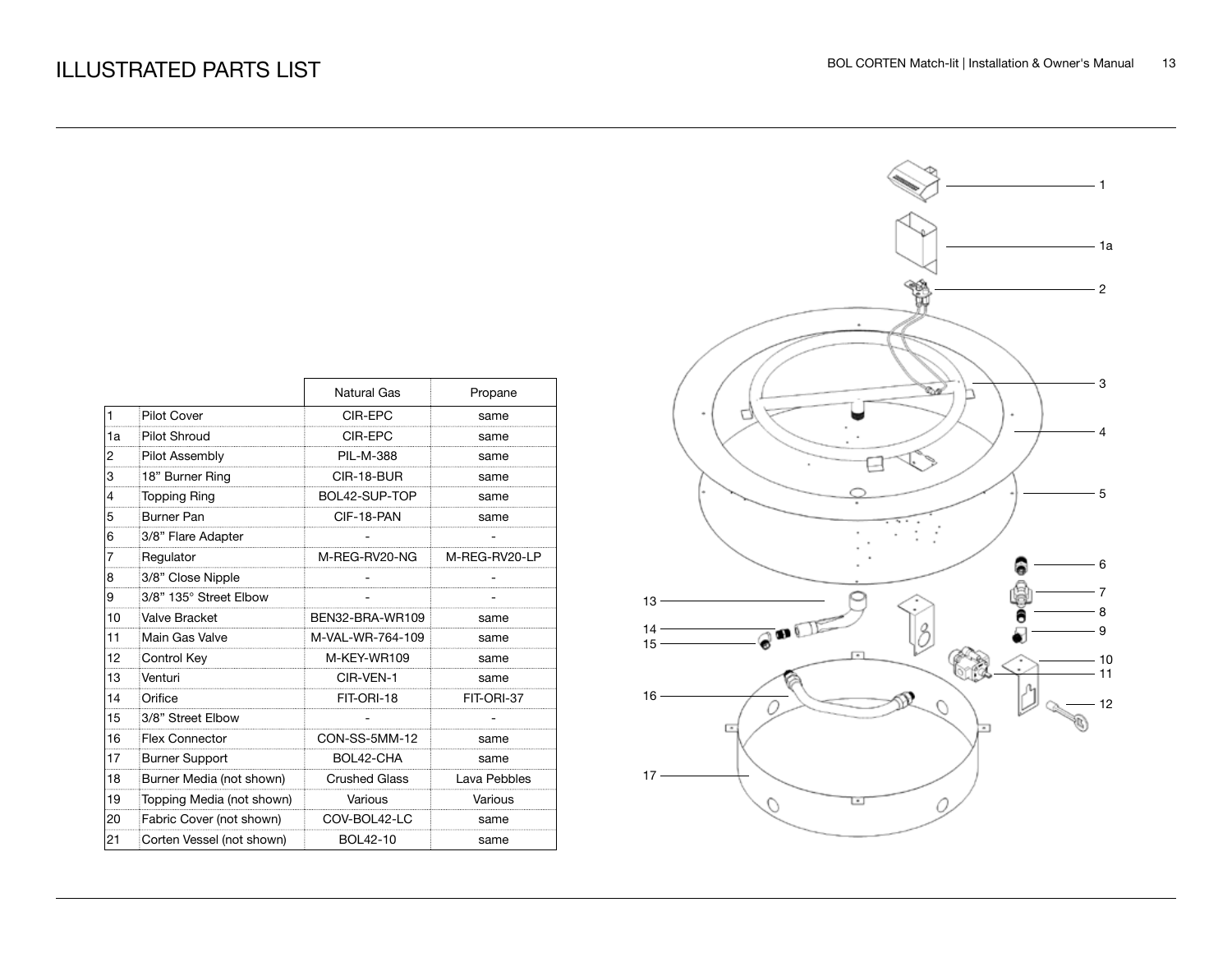|              |                           | <b>Natural Gas</b>   | Propane       |
|--------------|---------------------------|----------------------|---------------|
| $\mathbf{1}$ | <b>Pilot Cover</b>        | CIR-EPC              | same          |
| 1a           | <b>Pilot Shroud</b>       | CIR-EPC              | same          |
| 2            | Pilot Assembly            | <b>PIL-M-388</b>     | same          |
| 3            | 18" Burner Ring           | CIR-18-BUR           | same          |
| 4            | <b>Topping Ring</b>       | BOL42-SUP-TOP        | same          |
| 5            | <b>Burner Pan</b>         | CIF-18-PAN           | same          |
| 6            | 3/8" Flare Adapter        |                      |               |
| 7            | Regulator                 | M-REG-RV20-NG        | M-REG-RV20-LP |
| 8            | 3/8" Close Nipple         |                      |               |
| 9            | 3/8" 135° Street Elbow    |                      |               |
| 10           | Valve Bracket             | BEN32-BRA-WR109      | same          |
| 11           | Main Gas Valve            | M-VAL-WR-764-109     | same          |
| 12           | Control Key               | M-KEY-WR109          | same          |
| 13           | Venturi                   | CIR-VEN-1            | same          |
| 14           | Orifice                   | FIT-ORI-18           | FIT-ORI-37    |
| 15           | 3/8" Street Elbow         |                      |               |
| 16           | <b>Flex Connector</b>     | CON-SS-5MM-12        | same          |
| 17           | <b>Burner Support</b>     | BOL42-CHA            | same          |
| 18           | Burner Media (not shown)  | <b>Crushed Glass</b> | Lava Pebbles  |
| 19           | Topping Media (not shown) | Various              | Various       |
| 20           | Fabric Cover (not shown)  | COV-BOL42-LC         | same          |
| 21           | Corten Vessel (not shown) | BOL42-10             | same          |